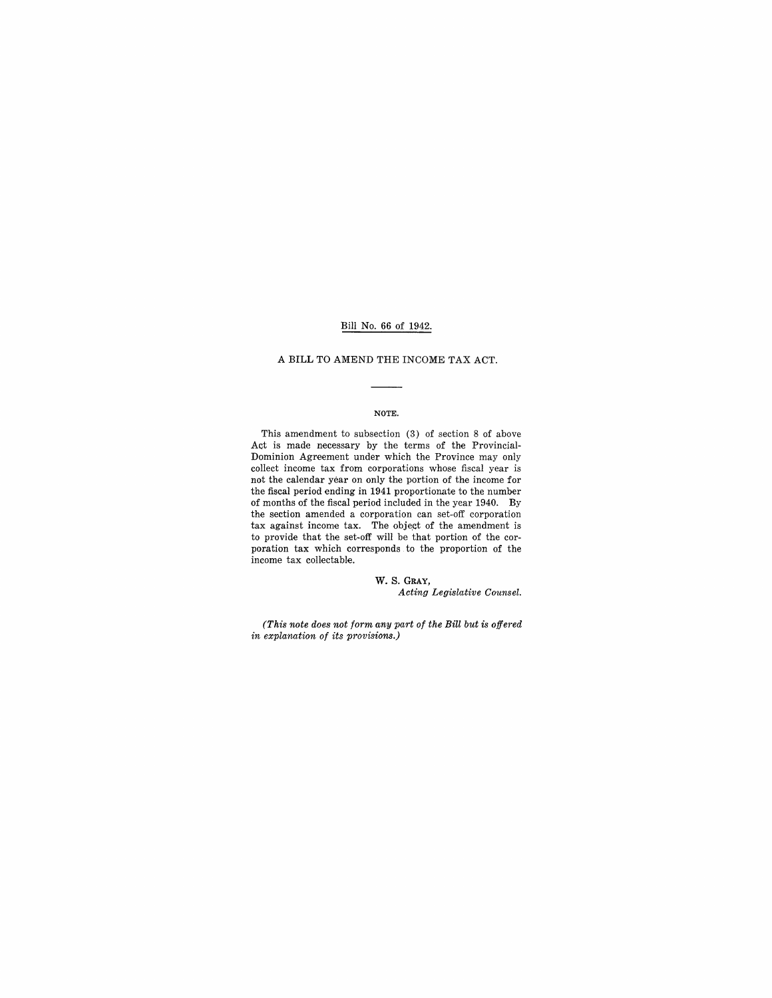## Bill No. 66 of 1942.

#### A BILL TO AMEND THE INCOME TAX ACT.

#### NOTE.

This amendment to subsection (3) of section 8 of above Act is made necessary by the terms of the Provincial-Dominion Agreement under which the Province may only collect income tax from corporations whose fiscal year is not the calendar year on only the portion of the income for the fiscal period ending in 1941 proportionate to the number of months of the fiscal period included in the year 1940. By the section amended a corporation can set-off corporation tax against income tax. The object of the amendment is to provide that the set-off will be that portion of the corporation tax which corresponds to the proportion of the income tax collectable.

> W. S. GRAY, *Acting Legislative Counsel.*

*(This note does not form any part of the Bill but is offered in explanation of its provisions.)*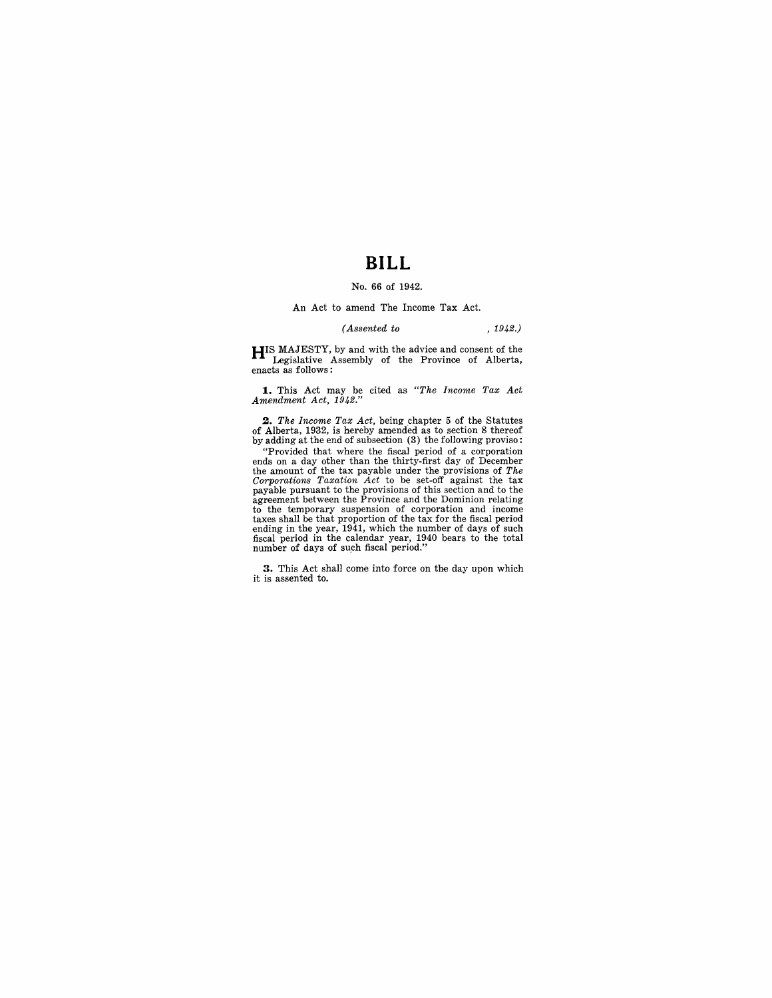## **BILL**

#### No. 66 of 1942.

#### An Act to amend The Income Tax Act.

## *(Assented to* , 1942.)

**HIS** MAJESTY, by and with the advice and consent of the Legislative Assembly of the Province of Alberta, enacts as follows:

**1.** This Act may be cited as *"The Income Tax Act Amendment Act, 1942."* 

2. *The Income Tax Act*, being chapter 5 of the Statutes of Alberta, 1932, is hereby amended as to section 8 thereof by adding at the end of subsection (3) the following proviso:

"Provided that where the fiscal period of a corporation<br>ends on a day other than the thirty-first day of December<br>the amount of the tax payable under the provisions of The<br>Corporations Taxation Act to be set-off against t to the temporary suspension of corporation and income taxes shall be that proportion of the tax for the fiscal period ending in the year, 1941, which the number of days of such fiscal period in the calendar year, 1940 bears to the total number of days of such fiscal period."

**3.** This Act shall come into force on the day upon which it is assented to.